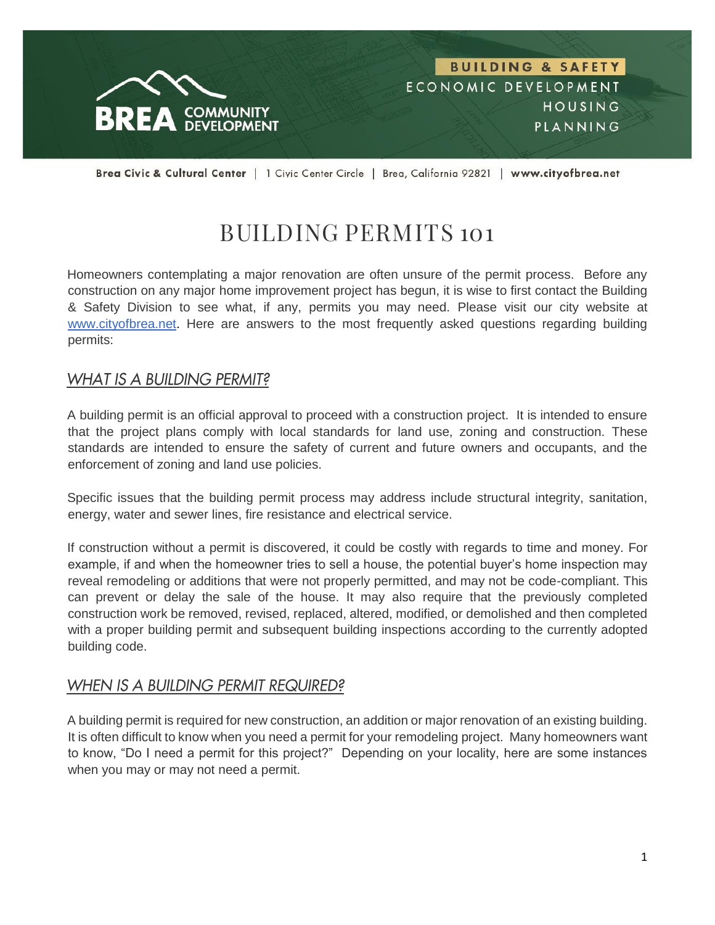

Brea Civic & Cultural Center | 1 Civic Center Circle | Brea, California 92821 | www.cityofbrea.net

# BUILDING PERMITS 101

Homeowners contemplating a major renovation are often unsure of the permit process. Before any construction on any major home improvement project has begun, it is wise to first contact the Building & Safety Division to see what, if any, permits you may need. Please visit our city website at [www.cityofbrea.net.](http://www.cityofbrea.net/) Here are answers to the most frequently asked questions regarding building permits:

#### **WHAT IS A BUILDING PERMIT?**

A building permit is an official approval to proceed with a construction project. It is intended to ensure that the project plans comply with local standards for land use, zoning and construction. These standards are intended to ensure the safety of current and future owners and occupants, and the enforcement of zoning and land use policies.

Specific issues that the building permit process may address include structural integrity, sanitation, energy, water and sewer lines, fire resistance and electrical service.

If construction without a permit is discovered, it could be costly with regards to time and money. For example, if and when the homeowner tries to sell a house, the potential buyer's home inspection may reveal remodeling or additions that were not properly permitted, and may not be code-compliant. This can prevent or delay the sale of the house. It may also require that the previously completed construction work be removed, revised, replaced, altered, modified, or demolished and then completed with a proper building permit and subsequent building inspections according to the currently adopted building code.

#### **WHEN IS A BUILDING PERMIT REQUIRED?**

A building permit is required for new construction, an addition or major renovation of an existing building. It is often difficult to know when you need a permit for your remodeling project. Many homeowners want to know, "Do I need a permit for this project?" Depending on your locality, here are some instances when you may or may not need a permit.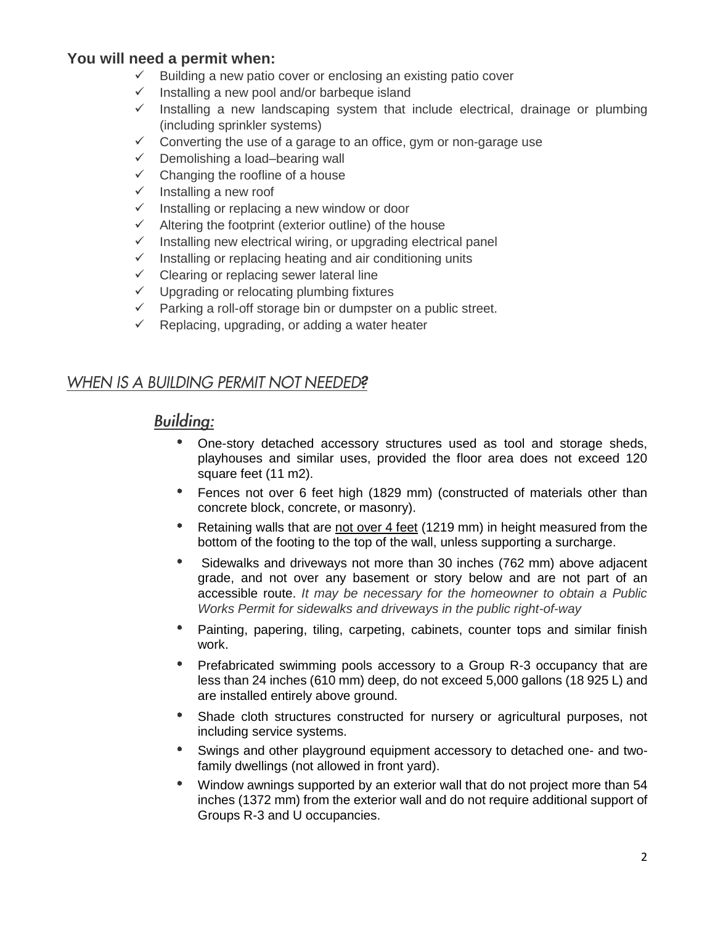#### **You will need a permit when:**

- $\checkmark$  Building a new patio cover or enclosing an existing patio cover
- ✓ Installing a new pool and/or barbeque island
- $\checkmark$  Installing a new landscaping system that include electrical, drainage or plumbing (including sprinkler systems)
- ✓ Converting the use of a garage to an office, gym or non-garage use
- $\checkmark$  Demolishing a load–bearing wall
- $\checkmark$  Changing the roofline of a house
- $\checkmark$  Installing a new roof
- $\checkmark$  Installing or replacing a new window or door
- $\checkmark$  Altering the footprint (exterior outline) of the house
- $\checkmark$  Installing new electrical wiring, or upgrading electrical panel
- $\checkmark$  Installing or replacing heating and air conditioning units
- $\checkmark$  Clearing or replacing sewer lateral line
- $\checkmark$  Upgrading or relocating plumbing fixtures
- ✓ Parking a roll-off storage bin or dumpster on a public street.
- $\checkmark$  Replacing, upgrading, or adding a water heater

#### WHEN IS A BUILDING PERMIT NOT NEEDED?

## **Building:**

- One-story detached accessory structures used as tool and storage sheds, playhouses and similar uses, provided the floor area does not exceed 120 square feet (11 m2).
- Fences not over 6 feet high (1829 mm) (constructed of materials other than concrete block, concrete, or masonry).
- $\bullet$ Retaining walls that are not over 4 feet (1219 mm) in height measured from the bottom of the footing to the top of the wall, unless supporting a surcharge.
- $\bullet$ Sidewalks and driveways not more than 30 inches (762 mm) above adjacent grade, and not over any basement or story below and are not part of an accessible route. *It may be necessary for the homeowner to obtain a Public Works Permit for sidewalks and driveways in the public right-of-way*
- $\bullet$ Painting, papering, tiling, carpeting, cabinets, counter tops and similar finish work.
- Prefabricated swimming pools accessory to a Group R-3 occupancy that are less than 24 inches (610 mm) deep, do not exceed 5,000 gallons (18 925 L) and are installed entirely above ground.
- Shade cloth structures constructed for nursery or agricultural purposes, not  $\bullet$ including service systems.
- Swings and other playground equipment accessory to detached one- and twofamily dwellings (not allowed in front yard).
- $\bullet$  . Window awnings supported by an exterior wall that do not project more than 54 inches (1372 mm) from the exterior wall and do not require additional support of Groups R-3 and U occupancies.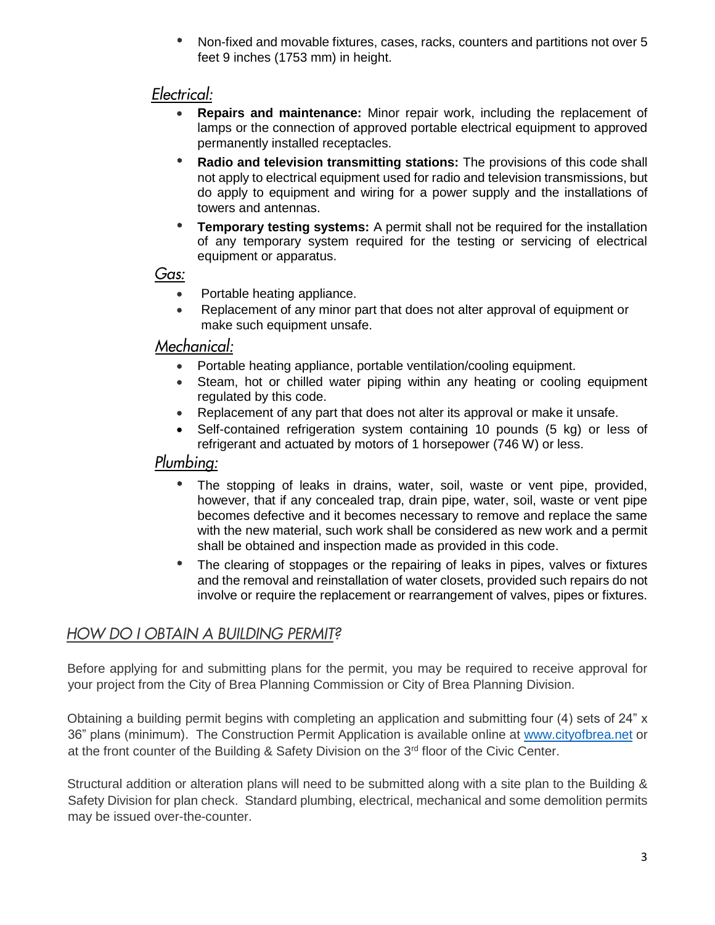$\bullet$ Non-fixed and movable fixtures, cases, racks, counters and partitions not over 5 feet 9 inches (1753 mm) in height.

## Electrical:

- **Repairs and maintenance:** Minor repair work, including the replacement of lamps or the connection of approved portable electrical equipment to approved permanently installed receptacles.
- $\bullet$  . **Radio and television transmitting stations:** The provisions of this code shall not apply to electrical equipment used for radio and television transmissions, but do apply to equipment and wiring for a power supply and the installations of towers and antennas.
- **Temporary testing systems:** A permit shall not be required for the installation of any temporary system required for the testing or servicing of electrical equipment or apparatus.

#### Gas:

- Portable heating appliance.
- Replacement of any minor part that does not alter approval of equipment or make such equipment unsafe.

#### Mechanical:

- Portable heating appliance, portable ventilation/cooling equipment.
- Steam, hot or chilled water piping within any heating or cooling equipment regulated by this code.
- Replacement of any part that does not alter its approval or make it unsafe.
- Self-contained refrigeration system containing 10 pounds (5 kg) or less of refrigerant and actuated by motors of 1 horsepower (746 W) or less.

# Plumbing:

- The stopping of leaks in drains, water, soil, waste or vent pipe, provided, however, that if any concealed trap, drain pipe, water, soil, waste or vent pipe becomes defective and it becomes necessary to remove and replace the same with the new material, such work shall be considered as new work and a permit shall be obtained and inspection made as provided in this code.
- $\bullet$ The clearing of stoppages or the repairing of leaks in pipes, valves or fixtures and the removal and reinstallation of water closets, provided such repairs do not involve or require the replacement or rearrangement of valves, pipes or fixtures.

# HOW DO I OBTAIN A BUILDING PERMIT?

Before applying for and submitting plans for the permit, you may be required to receive approval for your project from the City of Brea Planning Commission or City of Brea Planning Division.

Obtaining a building permit begins with completing an application and submitting four (4) sets of 24" x 36" plans (minimum). The Construction Permit Application is available online at [www.cityofbrea.net](http://www.cityofbrea.net/) or at the front counter of the Building & Safety Division on the  $3<sup>rd</sup>$  floor of the Civic Center.

Structural addition or alteration plans will need to be submitted along with a site plan to the Building & Safety Division for plan check. Standard plumbing, electrical, mechanical and some demolition permits may be issued over-the-counter.